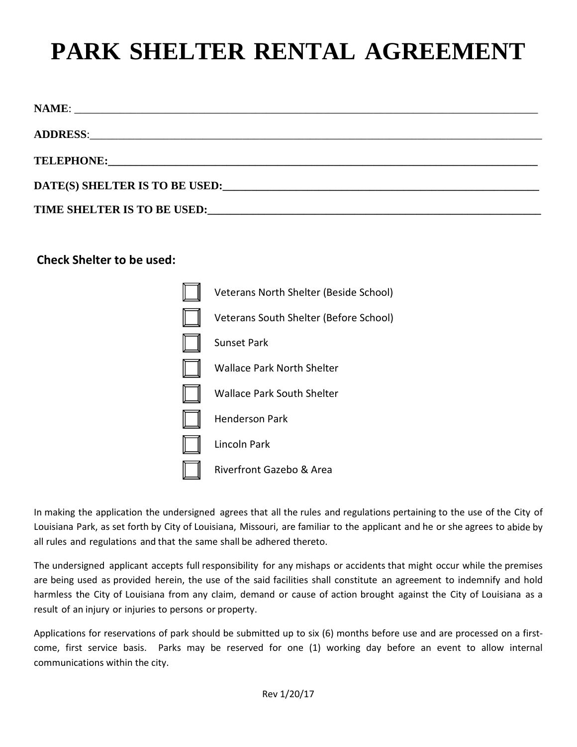## **PARK SHELTER RENTAL AGREEMENT**

## **Check Shelter to be used:**



In making the application the undersigned agrees that all the rules and regulations pertaining to the use of the City of Louisiana Park, as set forth by City of Louisiana, Missouri, are familiar to the applicant and he or she agrees to abide by all rules and regulations and that the same shall be adhered thereto.

The undersigned applicant accepts full responsibility for any mishaps or accidents that might occur while the premises are being used as provided herein, the use of the said facilities shall constitute an agreement to indemnify and hold harmless the City of Louisiana from any claim, demand or cause of action brought against the City of Louisiana as a result of an injury or injuries to persons or property.

Applications for reservations of park should be submitted up to six (6) months before use and are processed on a firstcome, first service basis. Parks may be reserved for one (1) working day before an event to allow internal communications within the city.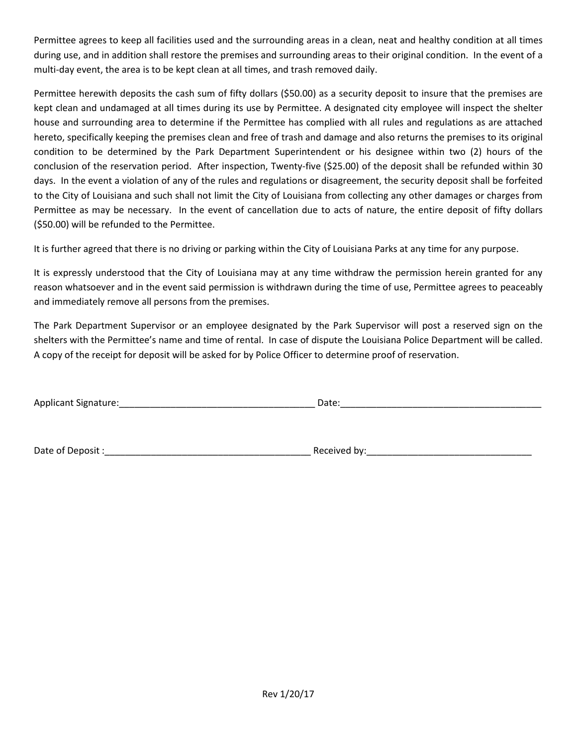Permittee agrees to keep all facilities used and the surrounding areas in a clean, neat and healthy condition at all times during use, and in addition shall restore the premises and surrounding areas to their original condition. In the event of a multi-day event, the area is to be kept clean at all times, and trash removed daily.

Permittee herewith deposits the cash sum of fifty dollars (\$50.00) as a security deposit to insure that the premises are kept clean and undamaged at all times during its use by Permittee. A designated city employee will inspect the shelter house and surrounding area to determine if the Permittee has complied with all rules and regulations as are attached hereto, specifically keeping the premises clean and free of trash and damage and also returns the premises to its original condition to be determined by the Park Department Superintendent or his designee within two (2) hours of the conclusion of the reservation period. After inspection, Twenty-five (\$25.00) of the deposit shall be refunded within 30 days. In the event a violation of any of the rules and regulations or disagreement, the security deposit shall be forfeited to the City of Louisiana and such shall not limit the City of Louisiana from collecting any other damages or charges from Permittee as may be necessary. In the event of cancellation due to acts of nature, the entire deposit of fifty dollars (\$50.00) will be refunded to the Permittee.

It is further agreed that there is no driving or parking within the City of Louisiana Parks at any time for any purpose.

It is expressly understood that the City of Louisiana may at any time withdraw the permission herein granted for any reason whatsoever and in the event said permission is withdrawn during the time of use, Permittee agrees to peaceably and immediately remove all persons from the premises.

The Park Department Supervisor or an employee designated by the Park Supervisor will post a reserved sign on the shelters with the Permittee's name and time of rental. In case of dispute the Louisiana Police Department will be called. A copy of the receipt for deposit will be asked for by Police Officer to determine proof of reservation.

| . .<br>Applicant<br>Signature: | <b>Udit</b><br>. |
|--------------------------------|------------------|
|                                |                  |

Date of Deposit :\_\_\_\_\_\_\_\_\_\_\_\_\_\_\_\_\_\_\_\_\_\_\_\_\_\_\_\_\_\_\_\_\_\_\_\_\_\_\_\_ Received by:\_\_\_\_\_\_\_\_\_\_\_\_\_\_\_\_\_\_\_\_\_\_\_\_\_\_\_\_\_\_\_\_